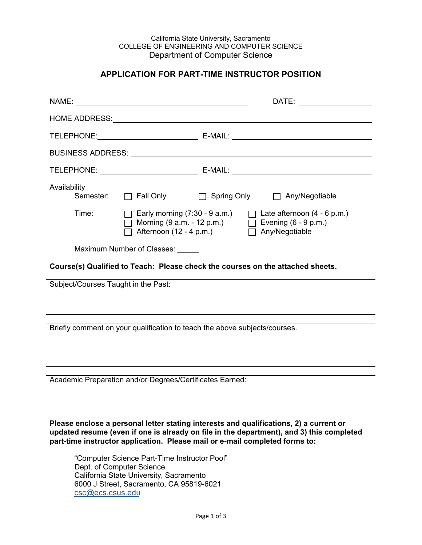#### California State University, Sacramento COLLEGE OF ENGINEERING AND COMPUTER SCIENCE Department of Computer Science

#### **APPLICATION FOR PART-TIME INSTRUCTOR POSITION**

|              |                                                                                                                                                                                    | DATE: __________________ |  |  |
|--------------|------------------------------------------------------------------------------------------------------------------------------------------------------------------------------------|--------------------------|--|--|
|              |                                                                                                                                                                                    |                          |  |  |
|              |                                                                                                                                                                                    |                          |  |  |
|              |                                                                                                                                                                                    |                          |  |  |
|              |                                                                                                                                                                                    |                          |  |  |
| Availability | Semester: □ Fall Only □ Spring Only □ Any/Negotiable                                                                                                                               |                          |  |  |
| Time:        | Early morning $(7:30 - 9 a.m.)$<br>$\Box$ Late afternoon $(4 - 6 p.m.)$<br>$\Box$ Morning (9 a.m. - 12 p.m.) $\Box$ Evening (6 - 9 p.m.)<br>Afternoon (12 - 4 p.m.) Any/Negotiable |                          |  |  |
|              | Maximum Number of Classes:                                                                                                                                                         |                          |  |  |
|              | Course(s) Qualified to Teach: Please check the courses on the attached sheets.                                                                                                     |                          |  |  |

Subject/Courses Taught in the Past: Briefly comment on your qualification to teach the above subjects/courses.

Academic Preparation and/or Degrees/Certificates Earned:

**Please enclose a personal letter stating interests and qualifications, 2) a current or updated resume (even if one is already on file in the department), and 3) this completed part-time instructor application. Please mail or e-mail completed forms to:**

"Computer Science Part-Time Instructor Pool" Dept. of Computer Science California State University, Sacramento 6000 J Street, Sacramento, CA 95819-6021 [csc@ecs.csus.edu](mailto:csc@ecs.csus.edu)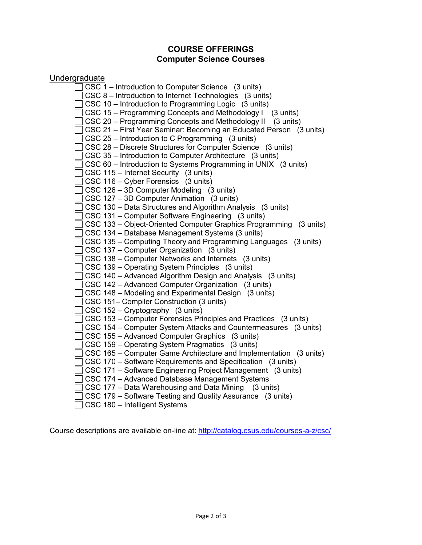## **COURSE OFFERINGS Computer Science Courses**

# **Undergraduate**

| CSC 1 – Introduction to Computer Science (3 units)                 |
|--------------------------------------------------------------------|
| CSC 8 – Introduction to Internet Technologies (3 units)            |
| CSC 10 – Introduction to Programming Logic (3 units)               |
| CSC 15 - Programming Concepts and Methodology I<br>(3 units)       |
| CSC 20 - Programming Concepts and Methodology II (3 units)         |
| CSC 21 - First Year Seminar: Becoming an Educated Person (3 units) |
| CSC 25 – Introduction to C Programming (3 units)                   |
| CSC 28 - Discrete Structures for Computer Science (3 units)        |
| CSC 35 - Introduction to Computer Architecture (3 units)           |
| CSC 60 - Introduction to Systems Programming in UNIX (3 units)     |
| CSC 115 - Internet Security (3 units)                              |
| CSC 116 – Cyber Forensics (3 units)                                |
| CSC 126 - 3D Computer Modeling (3 units)                           |
| CSC 127 - 3D Computer Animation (3 units)                          |
| CSC 130 – Data Structures and Algorithm Analysis (3 units)         |
| CSC 131 - Computer Software Engineering (3 units)                  |
| CSC 133 - Object-Oriented Computer Graphics Programming (3 units)  |
| CSC 134 - Database Management Systems (3 units)                    |
| CSC 135 – Computing Theory and Programming Languages (3 units)     |
| CSC 137 – Computer Organization (3 units)                          |
| CSC 138 – Computer Networks and Internets (3 units)                |
| CSC 139 - Operating System Principles (3 units)                    |
| CSC 140 - Advanced Algorithm Design and Analysis (3 units)         |
| CSC 142 – Advanced Computer Organization (3 units)                 |
| CSC 148 – Modeling and Experimental Design (3 units)               |
| CSC 151- Compiler Construction (3 units)                           |
| CSC 152 – Cryptography (3 units)                                   |
| CSC 153 – Computer Forensics Principles and Practices (3 units)    |
| CSC 154 – Computer System Attacks and Countermeasures (3 units)    |
| CSC 155 - Advanced Computer Graphics (3 units)                     |
| CSC 159 - Operating System Pragmatics (3 units)                    |
| CSC 165 – Computer Game Architecture and Implementation (3 units)  |
| CSC 170 – Software Requirements and Specification (3 units)        |
| CSC 171 - Software Engineering Project Management (3 units)        |
| CSC 174 - Advanced Database Management Systems                     |
| CSC 177 – Data Warehousing and Data Mining (3 units)               |
| CSC 179 - Software Testing and Quality Assurance (3 units)         |
| CSC 180 - Intelligent Systems                                      |

Course descriptions are available on-line at:<http://catalog.csus.edu/courses-a-z/csc/>